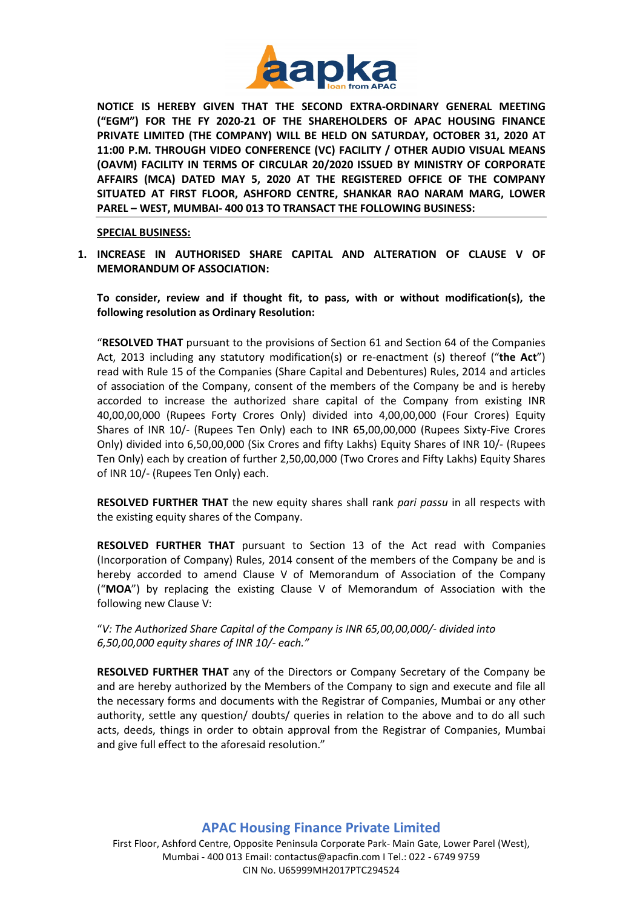

**NOTICE IS HEREBY GIVEN THAT THE SECOND EXTRA-ORDINARY GENERAL MEETING ("EGM") FOR THE FY 2020-21 OF THE SHAREHOLDERS OF APAC HOUSING FINANCE PRIVATE LIMITED (THE COMPANY) WILL BE HELD ON SATURDAY, OCTOBER 31, 2020 AT 11:00 P.M. THROUGH VIDEO CONFERENCE (VC) FACILITY / OTHER AUDIO VISUAL MEANS (OAVM) FACILITY IN TERMS OF CIRCULAR 20/2020 ISSUED BY MINISTRY OF CORPORATE AFFAIRS (MCA) DATED MAY 5, 2020 AT THE REGISTERED OFFICE OF THE COMPANY SITUATED AT FIRST FLOOR, ASHFORD CENTRE, SHANKAR RAO NARAM MARG, LOWER PAREL – WEST, MUMBAI- 400 013 TO TRANSACT THE FOLLOWING BUSINESS:**

**SPECIAL BUSINESS:**

**1. INCREASE IN AUTHORISED SHARE CAPITAL AND ALTERATION OF CLAUSE V OF MEMORANDUM OF ASSOCIATION:**

**To consider, review and if thought fit, to pass, with or without modification(s), the following resolution as Ordinary Resolution:**

"**RESOLVED THAT** pursuant to the provisions of Section 61 and Section 64 of the Companies Act, 2013 including any statutory modification(s) or re-enactment (s) thereof ("**the Act**") read with Rule 15 of the Companies (Share Capital and Debentures) Rules, 2014 and articles of association of the Company, consent of the members of the Company be and is hereby accorded to increase the authorized share capital of the Company from existing INR 40,00,00,000 (Rupees Forty Crores Only) divided into 4,00,00,000 (Four Crores) Equity Shares of INR 10/- (Rupees Ten Only) each to INR 65,00,00,000 (Rupees Sixty-Five Crores Only) divided into 6,50,00,000 (Six Crores and fifty Lakhs) Equity Shares of INR 10/- (Rupees Ten Only) each by creation of further 2,50,00,000 (Two Crores and Fifty Lakhs) Equity Shares of INR 10/- (Rupees Ten Only) each.

**RESOLVED FURTHER THAT** the new equity shares shall rank *pari passu* in all respects with the existing equity shares of the Company.

**RESOLVED FURTHER THAT** pursuant to Section 13 of the Act read with Companies (Incorporation of Company) Rules, 2014 consent of the members of the Company be and is hereby accorded to amend Clause V of Memorandum of Association of the Company ("**MOA**") by replacing the existing Clause V of Memorandum of Association with the following new Clause V:

"*V: The Authorized Share Capital of the Company is INR 65,00,00,000/- divided into 6,50,00,000 equity shares of INR 10/- each."*

**RESOLVED FURTHER THAT** any of the Directors or Company Secretary of the Company be and are hereby authorized by the Members of the Company to sign and execute and file all the necessary forms and documents with the Registrar of Companies, Mumbai or any other authority, settle any question/ doubts/ queries in relation to the above and to do all such acts, deeds, things in order to obtain approval from the Registrar of Companies, Mumbai and give full effect to the aforesaid resolution."

## **APAC Housing Finance Private Limited**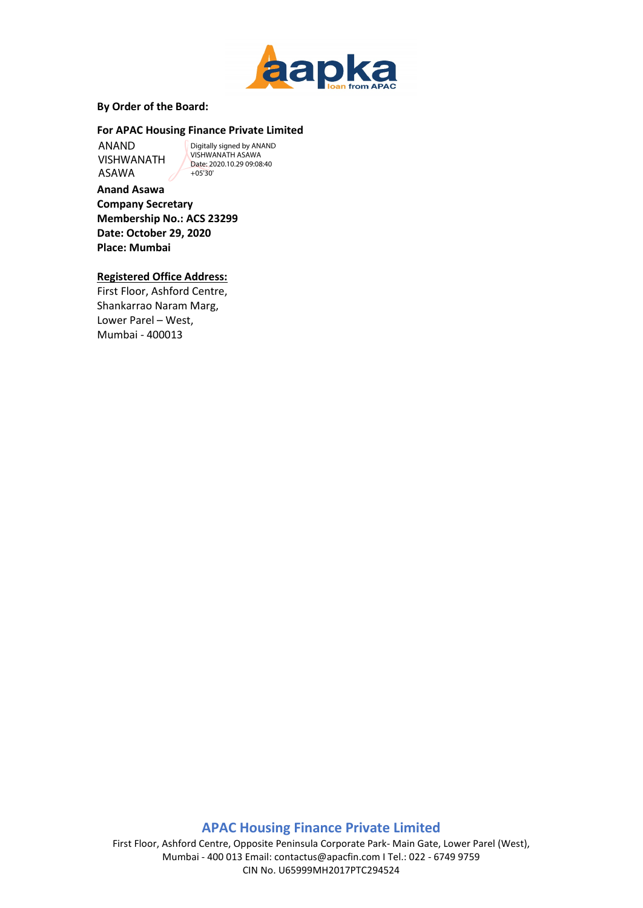

#### **By Order of the Board:**

### **For APAC Housing Finance Private Limited**

ANAND VISHWANATH ASAWA

Digitally signed by ANAND VISHWANATH ASAWA Date: 2020.10.29 09:08:40 +05'30'

**Anand Asawa Company Secretary Membership No.: ACS 23299 Date: October 29, 2020 Place: Mumbai**

### **Registered Office Address:**

First Floor, Ashford Centre, Shankarrao Naram Marg, Lower Parel – West, Mumbai - 400013

# **APAC Housing Finance Private Limited**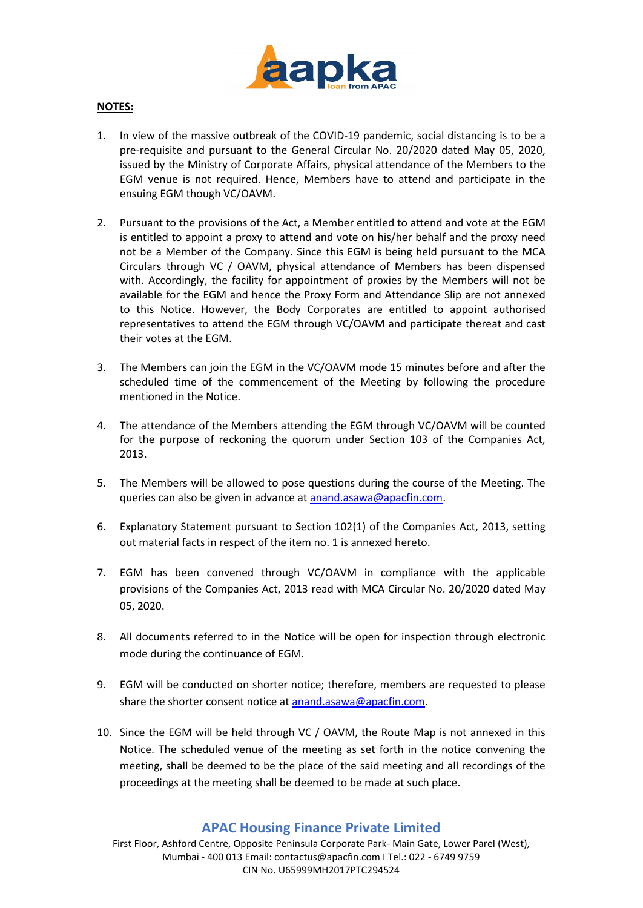

### **NOTES:**

- 1. In view of the massive outbreak of the COVID-19 pandemic, social distancing is to be a pre-requisite and pursuant to the General Circular No. 20/2020 dated May 05, 2020, issued by the Ministry of Corporate Affairs, physical attendance of the Members to the EGM venue is not required. Hence, Members have to attend and participate in the ensuing EGM though VC/OAVM.
- 2. Pursuant to the provisions of the Act, a Member entitled to attend and vote at the EGM is entitled to appoint a proxy to attend and vote on his/her behalf and the proxy need not be a Member of the Company. Since this EGM is being held pursuant to the MCA Circulars through VC / OAVM, physical attendance of Members has been dispensed with. Accordingly, the facility for appointment of proxies by the Members will not be available for the EGM and hence the Proxy Form and Attendance Slip are not annexed to this Notice. However, the Body Corporates are entitled to appoint authorised representatives to attend the EGM through VC/OAVM and participate thereat and cast their votes at the EGM.
- 3. The Members can join the EGM in the VC/OAVM mode 15 minutes before and after the scheduled time of the commencement of the Meeting by following the procedure mentioned in the Notice.
- 4. The attendance of the Members attending the EGM through VC/OAVM will be counted for the purpose of reckoning the quorum under Section 103 of the Companies Act, 2013.
- 5. The Members will be allowed to pose questions during the course of the Meeting. The queries can also be given in advance at [anand.asawa@apacfin.com.](mailto:anand.asawa@apacfin.com)
- 6. Explanatory Statement pursuant to Section 102(1) of the Companies Act, 2013, setting out material facts in respect of the item no. 1 is annexed hereto.
- 7. EGM has been convened through VC/OAVM in compliance with the applicable provisions of the Companies Act, 2013 read with MCA Circular No. 20/2020 dated May 05, 2020.
- 8. All documents referred to in the Notice will be open for inspection through electronic mode during the continuance of EGM.
- 9. EGM will be conducted on shorter notice; therefore, members are requested to please share the shorter consent notice a[t anand.asawa@apacfin.com.](mailto:anand.asawa@apacfin.com)
- 10. Since the EGM will be held through VC / OAVM, the Route Map is not annexed in this Notice. The scheduled venue of the meeting as set forth in the notice convening the meeting, shall be deemed to be the place of the said meeting and all recordings of the proceedings at the meeting shall be deemed to be made at such place.

## **APAC Housing Finance Private Limited**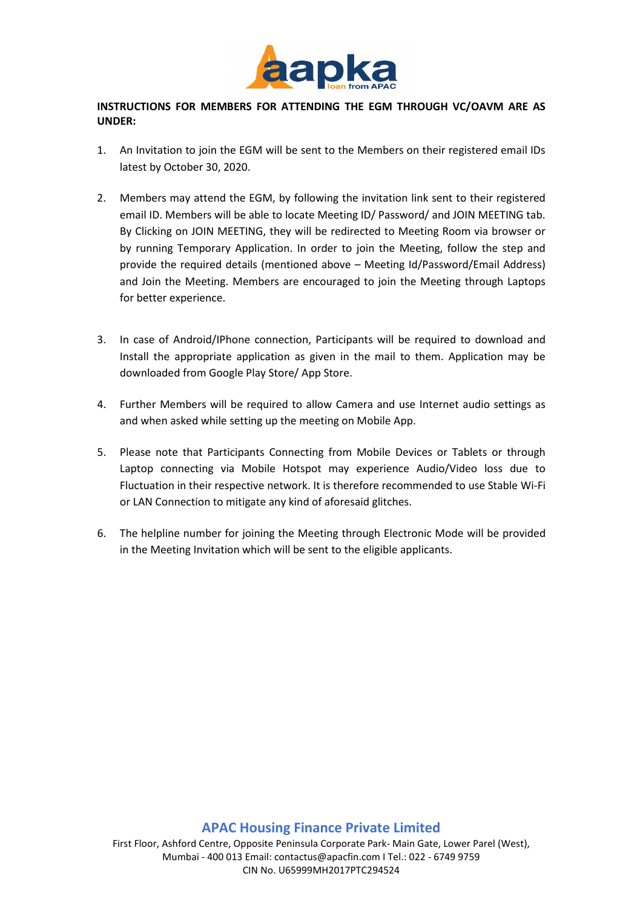

## **INSTRUCTIONS FOR MEMBERS FOR ATTENDING THE EGM THROUGH VC/OAVM ARE AS UNDER:**

- 1. An Invitation to join the EGM will be sent to the Members on their registered email IDs latest by October 30, 2020.
- 2. Members may attend the EGM, by following the invitation link sent to their registered email ID. Members will be able to locate Meeting ID/ Password/ and JOIN MEETING tab. By Clicking on JOIN MEETING, they will be redirected to Meeting Room via browser or by running Temporary Application. In order to join the Meeting, follow the step and provide the required details (mentioned above – Meeting Id/Password/Email Address) and Join the Meeting. Members are encouraged to join the Meeting through Laptops for better experience.
- 3. In case of Android/IPhone connection, Participants will be required to download and Install the appropriate application as given in the mail to them. Application may be downloaded from Google Play Store/ App Store.
- 4. Further Members will be required to allow Camera and use Internet audio settings as and when asked while setting up the meeting on Mobile App.
- 5. Please note that Participants Connecting from Mobile Devices or Tablets or through Laptop connecting via Mobile Hotspot may experience Audio/Video loss due to Fluctuation in their respective network. It is therefore recommended to use Stable Wi-Fi or LAN Connection to mitigate any kind of aforesaid glitches.
- 6. The helpline number for joining the Meeting through Electronic Mode will be provided in the Meeting Invitation which will be sent to the eligible applicants.

## **APAC Housing Finance Private Limited**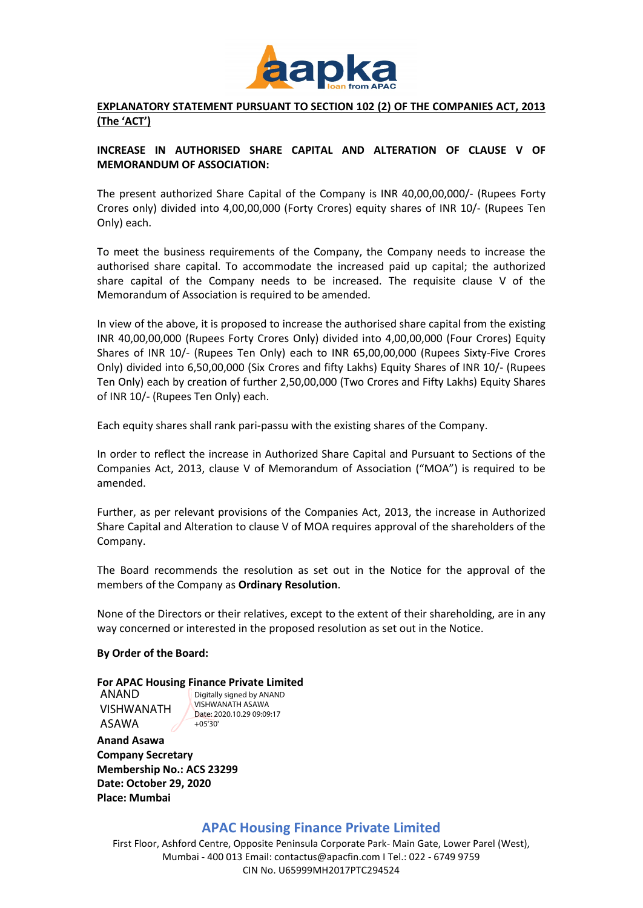

### **EXPLANATORY STATEMENT PURSUANT TO SECTION 102 (2) OF THE COMPANIES ACT, 2013 (The 'ACT')**

### **INCREASE IN AUTHORISED SHARE CAPITAL AND ALTERATION OF CLAUSE V OF MEMORANDUM OF ASSOCIATION:**

The present authorized Share Capital of the Company is INR 40,00,00,000/- (Rupees Forty Crores only) divided into 4,00,00,000 (Forty Crores) equity shares of INR 10/- (Rupees Ten Only) each.

To meet the business requirements of the Company, the Company needs to increase the authorised share capital. To accommodate the increased paid up capital; the authorized share capital of the Company needs to be increased. The requisite clause V of the Memorandum of Association is required to be amended.

In view of the above, it is proposed to increase the authorised share capital from the existing INR 40,00,00,000 (Rupees Forty Crores Only) divided into 4,00,00,000 (Four Crores) Equity Shares of INR 10/- (Rupees Ten Only) each to INR 65,00,00,000 (Rupees Sixty-Five Crores Only) divided into 6,50,00,000 (Six Crores and fifty Lakhs) Equity Shares of INR 10/- (Rupees Ten Only) each by creation of further 2,50,00,000 (Two Crores and Fifty Lakhs) Equity Shares of INR 10/- (Rupees Ten Only) each.

Each equity shares shall rank pari-passu with the existing shares of the Company.

In order to reflect the increase in Authorized Share Capital and Pursuant to Sections of the Companies Act, 2013, clause V of Memorandum of Association ("MOA") is required to be amended.

Further, as per relevant provisions of the Companies Act, 2013, the increase in Authorized Share Capital and Alteration to clause V of MOA requires approval of the shareholders of the Company.

The Board recommends the resolution as set out in the Notice for the approval of the members of the Company as **Ordinary Resolution**.

None of the Directors or their relatives, except to the extent of their shareholding, are in any way concerned or interested in the proposed resolution as set out in the Notice.

### **By Order of the Board:**

## **For APAC Housing Finance Private Limited**

ANAND VISHWANATH ASAWA

Digitally signed by ANAND VISHWANATH ASAWA Date: 2020.10.29 09:09:17 +05'30'

**Anand Asawa Company Secretary Membership No.: ACS 23299 Date: October 29, 2020 Place: Mumbai**

## **APAC Housing Finance Private Limited**